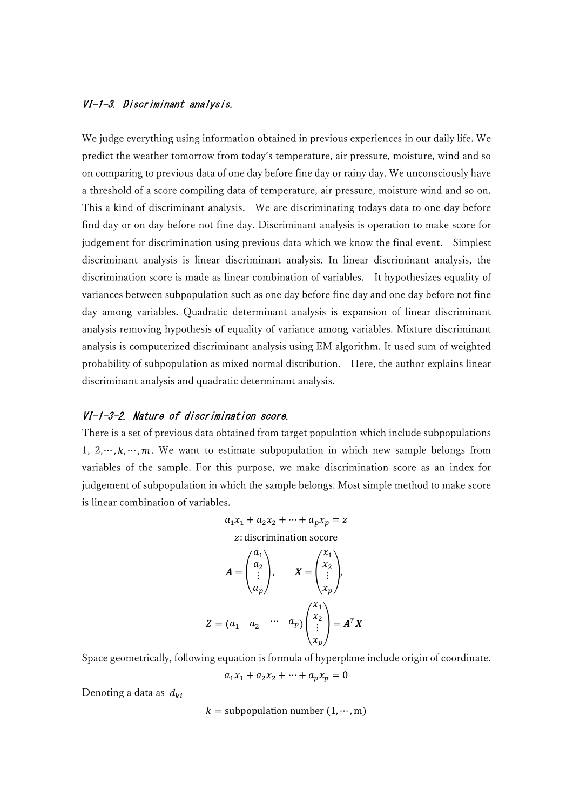### VI-1-3. Discriminant analysis.

We judge everything using information obtained in previous experiences in our daily life. We predict the weather tomorrow from today's temperature, air pressure, moisture, wind and so on comparing to previous data of one day before fine day or rainy day. We unconsciously have a threshold of a score compiling data of temperature, air pressure, moisture wind and so on. This a kind of discriminant analysis. We are discriminating todays data to one day before find day or on day before not fine day. Discriminant analysis is operation to make score for judgement for discrimination using previous data which we know the final event. Simplest discriminant analysis is linear discriminant analysis. In linear discriminant analysis, the discrimination score is made as linear combination of variables. It hypothesizes equality of variances between subpopulation such as one day before fine day and one day before not fine day among variables. Quadratic determinant analysis is expansion of linear discriminant analysis removing hypothesis of equality of variance among variables. Mixture discriminant analysis is computerized discriminant analysis using EM algorithm. It used sum of weighted probability of subpopulation as mixed normal distribution. Here, the author explains linear discriminant analysis and quadratic determinant analysis.

### VI-1-3-2. Nature of discrimination score.

There is a set of previous data obtained from target population which include subpopulations 1,  $2, \dots, k, \dots, m$ . We want to estimate subpopulation in which new sample belongs from variables of the sample. For this purpose, we make discrimination score as an index for judgement of subpopulation in which the sample belongs. Most simple method to make score is linear combination of variables.

$$
a_1x_1 + a_2x_2 + \dots + a_px_p = z
$$
  
\nz: discrimination score  
\n
$$
A = \begin{pmatrix} a_1 \\ a_2 \\ \vdots \\ a_p \end{pmatrix}, \qquad X = \begin{pmatrix} x_1 \\ x_2 \\ \vdots \\ x_p \end{pmatrix},
$$

$$
Z = (a_1 \quad a_2 \quad \cdots \quad a_p) \begin{pmatrix} a_1 \\ x_2 \\ \vdots \\ x_p \end{pmatrix} = A^T X
$$

Space geometrically, following equation is formula of hyperplane include origin of coordinate.

$$
a_1 x_1 + a_2 x_2 + \dots + a_p x_p = 0
$$

Denoting a data as  $d_{ki}$ 

 $k =$  subpopulation number (1,  $\dots$ , m)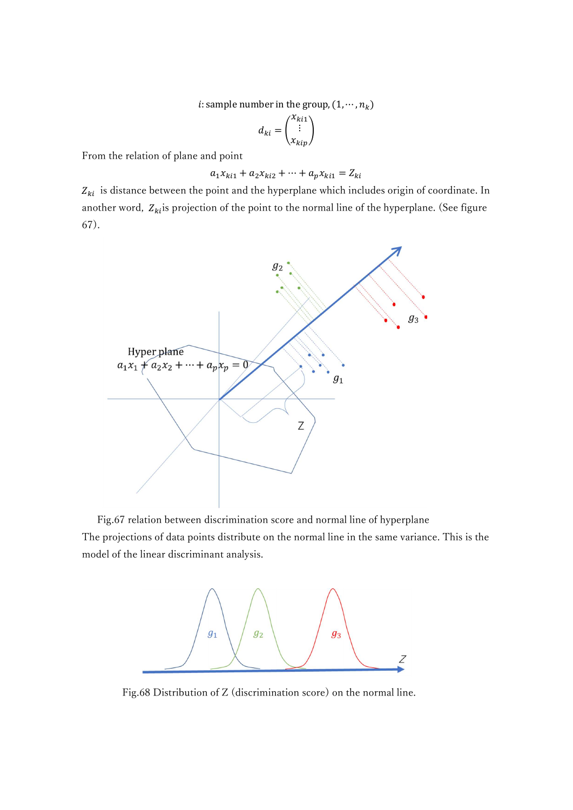*i*: sample number in the group,  $(1, \dots, n_k)$ 

$$
d_{ki} = \begin{pmatrix} x_{ki1} \\ \vdots \\ x_{kip} \end{pmatrix}
$$

From the relation of plane and point

$$
a_1 x_{ki1} + a_2 x_{ki2} + \dots + a_p x_{ki1} = Z_{ki}
$$

 $Z_{ki}$  is distance between the point and the hyperplane which includes origin of coordinate. In another word,  $Z_{ki}$  is projection of the point to the normal line of the hyperplane. (See figure 67).



Fig.67 relation between discrimination score and normal line of hyperplane

The projections of data points distribute on the normal line in the same variance. This is the model of the linear discriminant analysis.



Fig.68 Distribution of Z (discrimination score) on the normal line.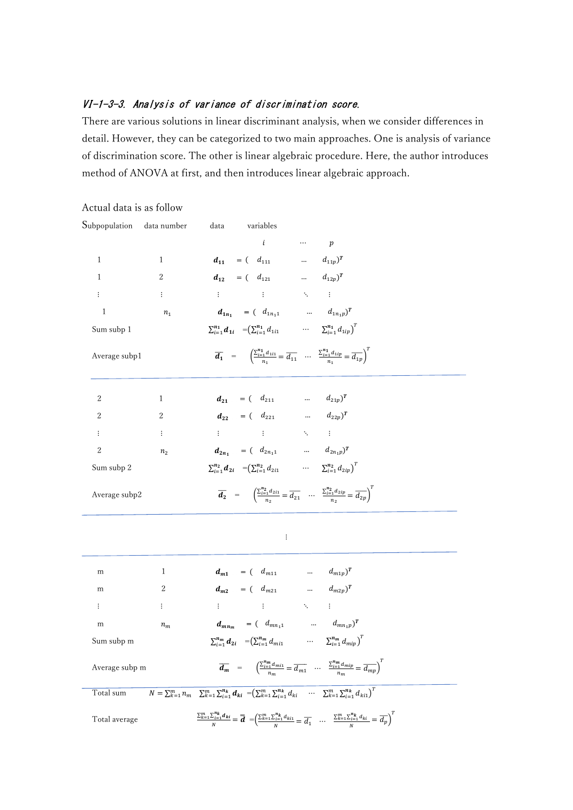# VI-1-3-3. Analysis of variance of discrimination score.

There are various solutions in linear discriminant analysis, when we consider differences in detail. However, they can be categorized to two main approaches. One is analysis of variance of discrimination score. The other is linear algebraic procedure. Here, the author introduces method of ANOVA at first, and then introduces linear algebraic approach.

| Subpopulation data number |                       | variables<br>data                                                                                                                                                                                                                     |
|---------------------------|-----------------------|---------------------------------------------------------------------------------------------------------------------------------------------------------------------------------------------------------------------------------------|
|                           |                       | $\iota$<br>$\cdots$ $p$                                                                                                                                                                                                               |
| 1                         | 1                     | $d_{11} = (d_{111} \ldots d_{11p})^T$                                                                                                                                                                                                 |
| 1                         | 2                     | $d_{12} = (d_{121} \ldots d_{12p})^T$                                                                                                                                                                                                 |
| ÷                         | $\ddot{\ddot{\cdot}}$ | 生产的 生产的 医心生                                                                                                                                                                                                                           |
| 1                         | $n_{1}$               | $d_{1n_1} = (d_{1n_11} \ldots d_{1n_1p})^T$                                                                                                                                                                                           |
| Sum subp 1                |                       | $\sum_{i=1}^{n_1} d_{1i} = (\sum_{i=1}^{n_1} d_{1i1} \cdots \sum_{i=1}^{n_1} d_{1ip})^T$                                                                                                                                              |
| Average subp1             |                       | $\overline{d_1}$ = $\left( \frac{\sum_{i=1}^{n_1} d_{1i1}}{n_1} = \overline{d_{11}} \dots \frac{\sum_{i=1}^{n_1} d_{1ip}}{n_i} = \overline{d_{1p}} \right)^{t}$                                                                       |
| 2                         | 1                     | $d_{21} = (d_{211} \ldots d_{21p})^T$                                                                                                                                                                                                 |
| 2                         | 2                     | $d_{22} = (d_{221} \ldots \ldots d_{22p})^T$                                                                                                                                                                                          |
| ÷                         | $\vdots$              | 生命 人名土尼 人名英格兰                                                                                                                                                                                                                         |
| $\boldsymbol{2}$          | n <sub>2</sub>        | $d_{2n_1} = (d_{2n_11} \ldots d_{2n_1p})^T$                                                                                                                                                                                           |
| Sum subp 2                |                       | $\sum_{i=1}^{n_2} d_{2i} = (\sum_{i=1}^{n_2} d_{2i1} \cdots \sum_{i=1}^{n_2} d_{2ip})^T$                                                                                                                                              |
| Average subp2             |                       | $\overline{d_2}$ = $\left(\frac{\sum_{i=1}^{n_2} d_{2i1}}{\sum_{i=1}^{n_2} d_{2i1}}\right)$ $\cdots$ $\frac{\sum_{i=1}^{n_2} d_{2ip}}{\sum_{i=1}^{n_2} d_{2ip}}$                                                                      |
|                           |                       | ÷                                                                                                                                                                                                                                     |
| m                         | 1                     | $d_{m1} = (d_{m11} \ldots d_{m1p})^T$                                                                                                                                                                                                 |
| m                         | 2                     | $d_{m2} = (d_{m21} \t m_1 \t m_2 \t m_3)^T$                                                                                                                                                                                           |
| ÷                         | $\ddot{\ddot{\cdot}}$ | 主に (の)主に (の) 入り(主)                                                                                                                                                                                                                    |
| m                         | $n_m$                 | $d_{mn_m} = (d_{mn_11} \t  \t d_{mn_1p})^T$                                                                                                                                                                                           |
| Sum subp m                |                       | $\sum_{i=1}^{n_m} d_{2i} = (\sum_{i=1}^{n_m} d_{mi1} \cdots \sum_{i=1}^{n_m} d_{mip})^T$                                                                                                                                              |
| Average subp m            |                       | $\overline{d_m}$ = $\left(\frac{\sum_{i=1}^{n_m} d_{mi}}{n_m} = \overline{d_{mi}} \right) \cdots \frac{\sum_{i=1}^{n_m} d_{mip}}{n_m} = \overline{d_{mp}}\right)^T$                                                                   |
| Total sum                 |                       | $N = \sum_{k=1}^{m} n_m \sum_{k=1}^{m} \sum_{i=1}^{n_k} d_{ki} = (\sum_{k=1}^{m} \sum_{i=1}^{n_k} d_{ki} \cdots \sum_{k=1}^{m} \sum_{i=1}^{n_k} d_{ki})^T$                                                                            |
| Total average             |                       | $\frac{\sum_{k=1}^m \sum_{i=1}^{n_k} d_{ki}}{N} = \overline{d} - \left( \frac{\sum_{k=1}^m \sum_{i=1}^{n_k} d_{ki1}}{N} = \overline{d_1} \quad \dots \quad \frac{\sum_{k=1}^m \sum_{i=1}^{n_k} d_{ki}}{N} = \overline{d_p} \right)^T$ |

## Actual data is as follow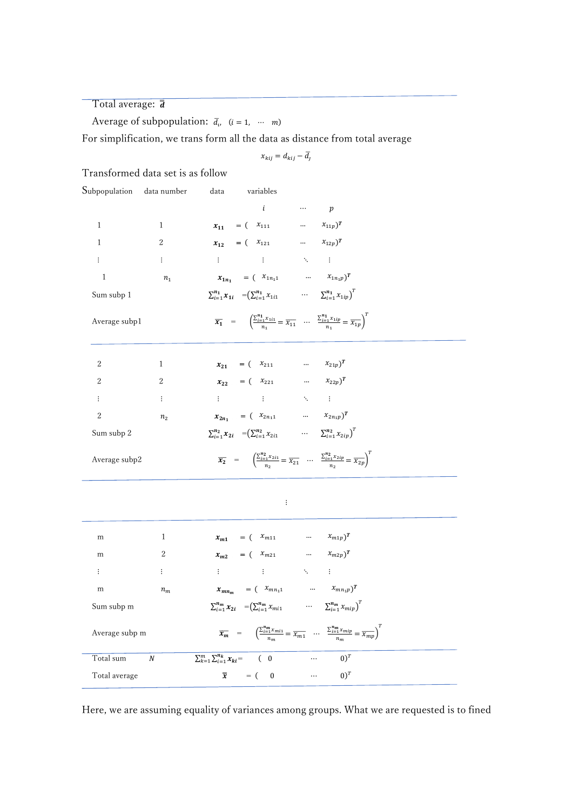Total average:  $\bar{d}$ 

Average of subpopulation:  $\bar{d}_v$   $(i = 1, \cdots, m)$ 

For simplification, we trans form all the data as distance from total average

$$
x_{kij} = d_{kij} - \overline{d_j}
$$

Transformed data set is as follow

| Subpopulation data number |                | data<br>variables                                                                        |                                                                                                                                                                           |  |
|---------------------------|----------------|------------------------------------------------------------------------------------------|---------------------------------------------------------------------------------------------------------------------------------------------------------------------------|--|
|                           |                | i                                                                                        | $\cdots$ $p$                                                                                                                                                              |  |
| 1                         | $\mathbf{1}$   | $x_{11} = (x_{111} \dots x_{11p})^T$                                                     |                                                                                                                                                                           |  |
| $\mathbf{1}$              | 2              | $x_{12} = (x_{121} \dots x_{12p})^T$                                                     |                                                                                                                                                                           |  |
| $\ddot{\ddot{\cdot}}$     | ÷              |                                                                                          |                                                                                                                                                                           |  |
| 1                         | n <sub>1</sub> | $x_{1n_1} = (\begin{array}{ccc} x_{1n_11} & \dots & x_{1n_1p} \end{array})^T$            |                                                                                                                                                                           |  |
| Sum subp 1                |                | $\sum_{i=1}^{n_1} x_{1i} = (\sum_{i=1}^{n_1} x_{1i1} \cdots \sum_{i=1}^{n_1} x_{1ip})^T$ |                                                                                                                                                                           |  |
| Average subp1             |                |                                                                                          | $\overline{x_1}$ = $\left(\frac{\sum_{i=1}^{n_1} x_{1i}}{n_1} = \overline{x_{11}} \right) \cdots \left(\frac{\sum_{i=1}^{n_1} x_{1ip}}{n_1} = \overline{x_{1p}}\right)^t$ |  |
| 2                         | 1              | $x_{21} = (x_{211} \dots x_{21p})^T$                                                     |                                                                                                                                                                           |  |
| $\overline{2}$            | 2              | $x_{22} = (x_{221} \dots x_{22p})^T$                                                     |                                                                                                                                                                           |  |
| $\vdots$                  | $\colon$       | $\mathbf{H}^{(n)}$ and $\mathbf{H}^{(n)}$ are $\mathbf{A}^{(n)}$ . If                    |                                                                                                                                                                           |  |
| $\overline{2}$            | n <sub>2</sub> | $x_{2n_1} = (x_{2n_11} \dots x_{2n_1p})^T$                                               |                                                                                                                                                                           |  |
| Sum subp 2                |                | $\sum_{i=1}^{n_2} x_{2i} = (\sum_{i=1}^{n_2} x_{2i1} \cdots \sum_{i=1}^{n_2} x_{2ip})^T$ |                                                                                                                                                                           |  |
| Average subp2             |                |                                                                                          | $\overline{x_2}$ = $\left(\frac{\sum_{i=1}^{n_2} x_{2i1}}{n_2} = \overline{x_{21}} \dots \frac{\sum_{i=1}^{n_2} x_{2ip}}{n_2} = \overline{x_{2p}}\right)^t$               |  |

| m              | 1                | $x_{m1} = (\begin{array}{ccc} x_{m11} & \cdots & x_{m1p} \end{array})^T$                                                                                                                     |
|----------------|------------------|----------------------------------------------------------------------------------------------------------------------------------------------------------------------------------------------|
| m              | 2                | $x_{m2} = (x_{m21} \dots x_{m2p})^T$                                                                                                                                                         |
| ÷              | $\vdots$         | (主) (1) (主) (1) (1) (1) (主)                                                                                                                                                                  |
| m              | $n_m$            | $\label{eq:10} x_{mn_m} \quad = \begin{pmatrix} x_{mn_11} & \dots & x_{mn_1p} \end{pmatrix}^T$                                                                                               |
| Sum subp m     |                  | $\sum_{i=1}^{n_m} x_{2i} = (\sum_{i=1}^{n_m} x_{mi1} \cdots \sum_{i=1}^{n_m} x_{mip})^T$                                                                                                     |
| Average subp m |                  | $\overline{\pmb{x_m}} \quad = \quad \  \left( \frac{\sum_{i=1}^{n_m} x_{mi}}{n_m} = \overline{x_{m1}} \quad \ldots \quad \frac{\sum_{i=1}^{n_m} x_{mip}}{n_m} = \overline{x_{mp}} \right)^T$ |
| Total sum      | $\boldsymbol{N}$ | $(0)^T$<br>$\sum_{k=1}^{m} \sum_{i=1}^{n_k} x_{ki}$ ( 0<br>$\cdots$                                                                                                                          |
| Total average  |                  | $\overline{\overline{x}}$ = ( 0<br>$(0)^T$<br>$\sim$ $\sim$ $\sim$                                                                                                                           |

Here, we are assuming equality of variances among groups. What we are requested is to fined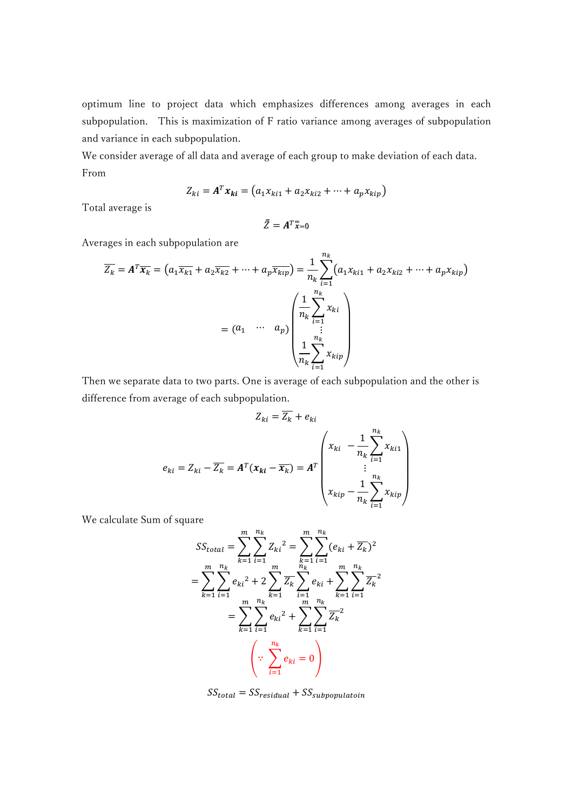optimum line to project data which emphasizes differences among averages in each subpopulation. This is maximization of F ratio variance among averages of subpopulation and variance in each subpopulation.

We consider average of all data and average of each group to make deviation of each data. From

$$
Z_{ki} = A^T x_{ki} = (a_1 x_{ki1} + a_2 x_{ki2} + \dots + a_p x_{kip})
$$

Total average is

$$
\bar{\bar{Z}} = A^T \bar{\bar{x}} = 0
$$

Averages in each subpopulation are

$$
\overline{Z_k} = A^T \overline{x_k} = (a_1 \overline{x_{k1}} + a_2 \overline{x_{k2}} + \dots + a_p \overline{x_{ktp}}) = \frac{1}{n_k} \sum_{i=1}^{n_k} (a_1 x_{ki1} + a_2 x_{ki2} + \dots + a_p x_{kip})
$$

$$
= (a_1 \cdots a_p) \begin{pmatrix} \frac{1}{n_k} \sum_{i=1}^{n_k} x_{ki} \\ \vdots \\ \frac{1}{n_k} \sum_{i=1}^{n_k} x_{kip} \end{pmatrix}
$$

Then we separate data to two parts. One is average of each subpopulation and the other is difference from average of each subpopulation.

$$
Z_{ki} = \overline{Z_k} + e_{ki}
$$
  

$$
e_{ki} = Z_{ki} - \overline{Z_k} = A^T (x_{ki} - \overline{x_k}) = A^T \begin{pmatrix} x_{ki} & -\frac{1}{n_k} \sum_{i=1}^{n_k} x_{ki1} \\ \vdots & \vdots \\ x_{kip} - \frac{1}{n_k} \sum_{i=1}^{n_k} x_{kip} \end{pmatrix}
$$

We calculate Sum of square

$$
SS_{total} = \sum_{k=1}^{m} \sum_{i=1}^{n_k} Z_{ki}^{2} = \sum_{k=1}^{m} \sum_{i=1}^{n_k} (e_{ki} + \overline{Z_k})^{2}
$$
  
= 
$$
\sum_{k=1}^{m} \sum_{i=1}^{n_k} e_{ki}^{2} + 2 \sum_{k=1}^{m} \overline{Z_k} \sum_{i=1}^{n_k} e_{ki} + \sum_{k=1}^{m} \sum_{i=1}^{n_k} \overline{Z_k}^{2}
$$
  
= 
$$
\sum_{k=1}^{m} \sum_{i=1}^{n_k} e_{ki}^{2} + \sum_{k=1}^{m} \sum_{i=1}^{n_k} \overline{Z_k}^{2}
$$
  

$$
\therefore \sum_{i=1}^{n_k} e_{ki} = 0
$$

 $SS_{total} = SS_{residual} + SS_{subpopulation}$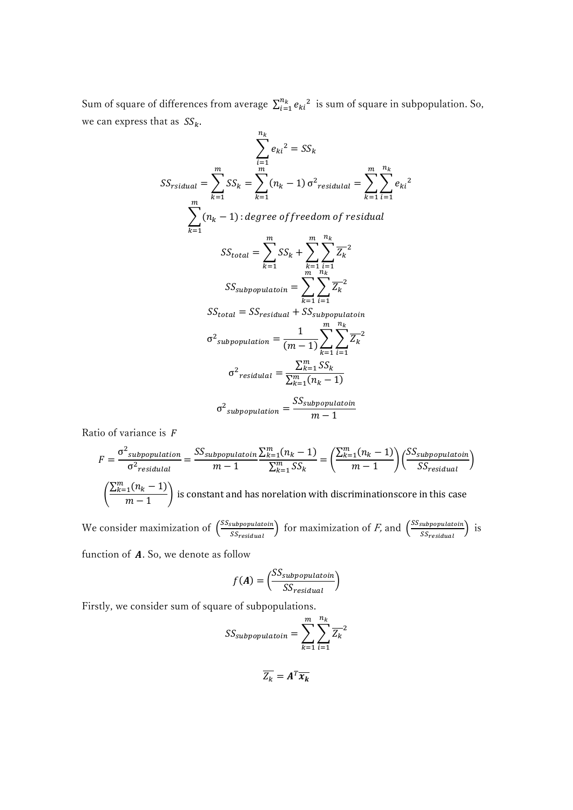Sum of square of differences from average  $\sum_{i=1}^{n_k} e_{ki}^2$  is sum of square in subpopulation. So, we can express that as  $SS_k$ .

$$
SS_{rsidual} = \sum_{k=1}^{m} SS_k = \sum_{k=1}^{m} (n_k - 1) \sigma^2_{residual} = \sum_{k=1}^{m} \sum_{i=1}^{n_k} e_{ki}^2
$$
  

$$
\sum_{k=1}^{m} (n_k - 1) : degree \ of \ freedom \ of \ residual
$$
  

$$
SS_{total} = \sum_{k=1}^{m} SS_k + \sum_{k=1}^{m} \sum_{i=1}^{n_k} \overline{Z_k}^2
$$
  

$$
SS_{subpopulation} = \sum_{k=1}^{m} \sum_{i=1}^{n_k} \overline{Z_k}^2
$$
  

$$
SS_{total} = SS_{residual} + SS_{subpopulation}
$$
  

$$
\sigma^2_{subpopulation} = \frac{1}{(m-1)} \sum_{k=1}^{m} \sum_{i=1}^{n_k} \overline{Z_k}^2
$$
  

$$
\sigma^2_{residual} = \frac{\sum_{k=1}^{m} SS_k}{\sum_{k=1}^{m} (n_k - 1)}
$$
  

$$
\sigma^2_{subpopulation} = \frac{SS_{subpopulation}}{m-1}
$$

Ratio of variance is  $F$ 

$$
F = \frac{\sigma^2_{subpopulation}}{\sigma^2_{residual}} = \frac{SS_{subpopulation}}{m-1} \frac{\sum_{k=1}^{m} (n_k - 1)}{\sum_{k=1}^{m} SS_k} = \left(\frac{\sum_{k=1}^{m} (n_k - 1)}{m-1}\right) \left(\frac{SS_{subpopulation}}{SS_{residual}}\right)
$$

$$
\left(\frac{\sum_{k=1}^{m} (n_k - 1)}{m-1}\right)
$$
 is constant and has no relation with discriminationscore in this case

We consider maximization of  $\frac{SS_{\text{subpopulation}}}{SS}$ subpopulatoin) for maximization of *F*, and  $\left(\frac{SS_{subpopulation}}{SS_{residual}}\right)$  $\frac{\text{subpopulation}}{\text{SS}_{\text{residual}}}$ ) is

function of  $A$ . So, we denote as follow

$$
f(A) = \left(\frac{SS_{subpopulation}}{SS_{residual}}\right)
$$

Firstly, we consider sum of square of subpopulations.

$$
SS_{subpopulation} = \sum_{k=1}^{m} \sum_{i=1}^{n_k} \overline{Z_k}^2
$$

$$
\overline{Z_k} = A^T \overline{x_k}
$$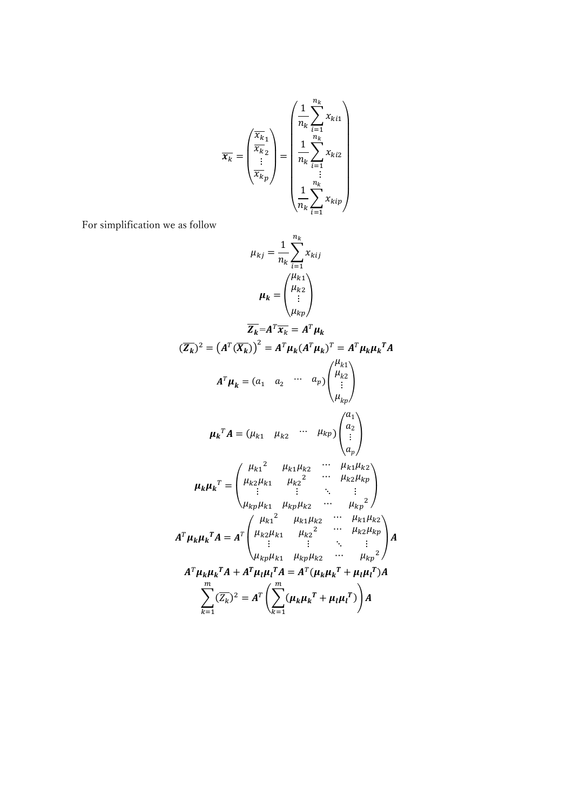$$
\overline{x_k} = \begin{pmatrix} \overline{x_k} \\ \overline{x_k} \\ \vdots \\ \overline{x_k} \end{pmatrix} = \begin{pmatrix} \frac{1}{n_k} \sum_{i=1}^{n_k} x_{ki1} \\ \frac{1}{n_k} \sum_{i=1}^{n_k} x_{ki2} \\ \vdots \\ \frac{1}{n_k} \sum_{i=1}^{n_k} x_{kip} \end{pmatrix}
$$

For simplification we as follow

$$
\mu_{kj} = \frac{1}{n_k} \sum_{i=1}^{n_k} x_{kij}
$$
\n
$$
\mu_k = \begin{pmatrix} \mu_{k1} \\ \mu_{k2} \\ \vdots \\ \mu_{kp} \end{pmatrix}
$$
\n
$$
\overline{Z_k} = A^T \overline{x_k} = A^T \mu_k
$$
\n
$$
(\overline{Z_k})^2 = (A^T (\overline{X_k}))^2 = A^T \mu_k (A^T \mu_k)^T = A^T \mu_k \mu_k^T A
$$
\n
$$
A^T \mu_k = (a_1 \ a_2 \ \cdots \ a_p) \begin{pmatrix} \mu_{k1} \\ \mu_{k2} \\ \vdots \\ \mu_{kp} \end{pmatrix}
$$
\n
$$
\mu_k^T A = (\mu_{k1} \ \mu_{k2} \ \cdots \ \mu_{kp}) \begin{pmatrix} a_1 \\ a_2 \\ \vdots \\ a_p \end{pmatrix}
$$
\n
$$
\mu_k \mu_k^T = \begin{pmatrix} \mu_{k1}^2 & \mu_{k1} \mu_{k2} & \cdots & \mu_{k1} \mu_{k2} \\ \mu_{k2} \mu_{k1} & \mu_{k2}^2 & \cdots & \mu_{k2} \mu_{kp} \\ \vdots & \vdots & \ddots & \vdots \\ \mu_{kp} \mu_{k1} & \mu_{kp} \mu_{k2} & \cdots & \mu_{kp}^2 \end{pmatrix}
$$
\n
$$
A^T \mu_k \mu_k^T A = A^T \begin{pmatrix} \mu_{k1}^2 & \mu_{k1} \mu_{k2} & \cdots & \mu_{k2} \mu_{kp} \\ \mu_{k2}^2 & \mu_{k1} \mu_{k2} & \cdots & \mu_{kp}^2 \end{pmatrix} A
$$
\n
$$
A^T \mu_k \mu_k^T A + A^T \mu_l \mu_l^T A = A^T (\mu_k \mu_k^T + \mu_l \mu_l^T) A
$$
\n
$$
\sum_{k=1}^m (\overline{Z_k})^2 = A^T \left( \sum_{k=1}^m (\mu_k \mu_k^T + \mu_l \mu_l^T) \right) A
$$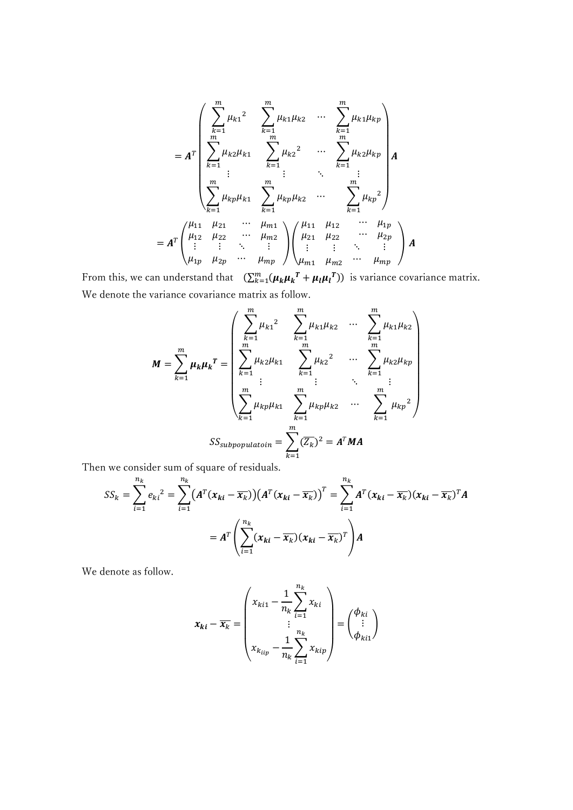$$
= A^{T} \begin{pmatrix} \sum_{k=1}^{m} \mu_{k1}^{2} & \sum_{k=1}^{m} \mu_{k1} \mu_{k2} & \cdots & \sum_{k=1}^{m} \mu_{k1} \mu_{kp} \\ \sum_{k=1}^{m} \mu_{k2} \mu_{k1} & \sum_{k=1}^{m} \mu_{k2}^{2} & \cdots & \sum_{k=1}^{m} \mu_{k2} \mu_{kp} \\ \vdots & \vdots & \ddots & \vdots \\ \sum_{k=1}^{m} \mu_{kp} \mu_{k1} & \sum_{k=1}^{m} \mu_{kp} \mu_{k2} & \cdots & \sum_{k=1}^{m} \mu_{kp}^{2} \\ \vdots & \vdots & \ddots & \vdots \\ \mu_{12} \mu_{22} & \cdots & \mu_{m2} \mu_{21} & \mu_{22} & \cdots & \mu_{2p} \\ \vdots & \vdots & \ddots & \vdots \\ \mu_{1p} \mu_{2p} & \cdots & \mu_{mp} \end{pmatrix} \begin{pmatrix} \mu_{11} & \mu_{12} & \cdots & \mu_{1p} \\ \mu_{21} & \mu_{22} & \cdots & \mu_{2p} \\ \vdots & \vdots & \ddots & \vdots \\ \mu_{m1} & \mu_{m2} & \cdots & \mu_{mp} \end{pmatrix} A
$$

From this, we can understand that  $(\sum_{k=1}^m (\mu_k \mu_k^T + \mu_l \mu_l^T))$  is variance covariance matrix. We denote the variance covariance matrix as follow.

$$
M = \sum_{k=1}^{m} \mu_k \mu_k^T = \begin{pmatrix} \sum_{k=1}^{m} \mu_{k1}^2 & \sum_{k=1}^{m} \mu_{k1} \mu_{k2} & \cdots & \sum_{k=1}^{m} \mu_{k1} \mu_{k2} \\ \sum_{k=1}^{m} \mu_{k2} \mu_{k1} & \sum_{k=1}^{m} \mu_{k2}^2 & \cdots & \sum_{k=1}^{m} \mu_{k2} \mu_{kp} \\ \vdots & \vdots & \ddots & \vdots \\ \sum_{k=1}^{m} \mu_{kp} \mu_{k1} & \sum_{k=1}^{m} \mu_{kp} \mu_{k2} & \cdots & \sum_{k=1}^{m} \mu_{kp}^2 \end{pmatrix}
$$
  

$$
SS_{subpopulation} = \sum_{k=1}^{m} (\overline{Z_k})^2 = A^T M A
$$

Then we consider sum of square of residuals.

$$
SS_k = \sum_{i=1}^{n_k} e_{ki}^2 = \sum_{i=1}^{n_k} \left( A^T (x_{ki} - \overline{x_k}) \right) \left( A^T (x_{ki} - \overline{x_k}) \right)^T = \sum_{i=1}^{n_k} A^T (x_{ki} - \overline{x_k}) (x_{ki} - \overline{x_k})^T A
$$

$$
= A^T \left( \sum_{i=1}^{n_k} (x_{ki} - \overline{x_k}) (x_{ki} - \overline{x_k})^T \right) A
$$

We denote as follow.

$$
\boldsymbol{x}_{ki} - \overline{\boldsymbol{x}_k} = \begin{pmatrix} x_{ki1} - \frac{1}{n_k} \sum_{i=1}^{n_k} x_{ki} \\ \vdots \\ x_{kiip} - \frac{1}{n_k} \sum_{i=1}^{n_k} x_{kip} \end{pmatrix} = \begin{pmatrix} \phi_{ki} \\ \vdots \\ \phi_{ki1} \end{pmatrix}
$$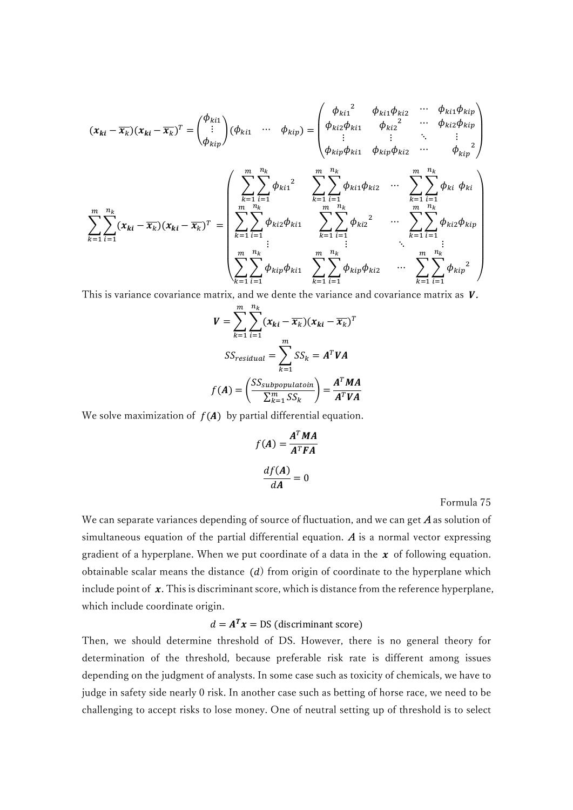$$
(\mathbf{x}_{ki} - \overline{\mathbf{x}}_k)(\mathbf{x}_{ki} - \overline{\mathbf{x}}_k)^T = \begin{pmatrix} \phi_{ki1} \\ \vdots \\ \phi_{kip} \end{pmatrix} (\phi_{ki1} \cdots \phi_{kip}) = \begin{pmatrix} \phi_{ki1}^2 & \phi_{ki1} \phi_{ki2} & \cdots & \phi_{ki1} \phi_{kip} \\ \phi_{ki2} \phi_{ki1} & \phi_{ki2}^2 & \cdots & \phi_{ki2} \phi_{kip} \\ \vdots & \vdots & \ddots & \vdots \\ \phi_{kip} \phi_{ki1} & \phi_{kip} \phi_{ki2} & \cdots & \phi_{kip}^2 \end{pmatrix}
$$

$$
\sum_{k=1}^m \sum_{i=1}^{n_k} \phi_{ki2}^2 \phi_{ki1}^2 \sum_{k=1}^m \sum_{i=1}^{n_k} \phi_{ki1} \phi_{ki2} \cdots \sum_{k=1}^m \sum_{i=1}^{n_k} \phi_{ki2} \phi_{kip}
$$

$$
\sum_{k=1}^m \sum_{i=1}^{n_k} \phi_{ki2} \phi_{ki1} \sum_{k=1}^m \sum_{i=1}^m \phi_{ki2} \phi_{ki2}^2 \cdots \sum_{k=1}^m \sum_{i=1}^{n_k} \phi_{ki2} \phi_{kip}
$$

$$
\sum_{k=1}^m \sum_{i=1}^m \phi_{kip} \phi_{ki1} \sum_{k=1}^m \sum_{i=1}^m \phi_{kip} \phi_{ki2} \cdots \sum_{k=1}^m \sum_{i=1}^m \phi_{kip}^2
$$

This is variance covariance matrix, and we dente the variance and covariance matrix as  $V$ .

$$
V = \sum_{k=1}^{m} \sum_{i=1}^{n_k} (x_{ki} - \overline{x_k})(x_{ki} - \overline{x_k})^T
$$
  

$$
SS_{residual} = \sum_{k=1}^{m} SS_k = A^T V A
$$
  

$$
f(A) = \left(\frac{SS_{subpopulation}}{\sum_{k=1}^{m} SS_k}\right) = \frac{A^T M A}{A^T V A}
$$

We solve maximization of  $f(A)$  by partial differential equation.

$$
f(A) = \frac{A^T M A}{A^T F A}
$$

$$
\frac{df(A)}{dA} = 0
$$

Formula 75

We can separate variances depending of source of fluctuation, and we can get  $A$  as solution of simultaneous equation of the partial differential equation.  $\boldsymbol{A}$  is a normal vector expressing gradient of a hyperplane. When we put coordinate of a data in the  $x$  of following equation. obtainable scalar means the distance  $(d)$  from origin of coordinate to the hyperplane which include point of  $x$ . This is discriminant score, which is distance from the reference hyperplane, which include coordinate origin.

# $d = A^T x = DS$  (discriminant score)

Then, we should determine threshold of DS. However, there is no general theory for determination of the threshold, because preferable risk rate is different among issues depending on the judgment of analysts. In some case such as toxicity of chemicals, we have to judge in safety side nearly 0 risk. In another case such as betting of horse race, we need to be challenging to accept risks to lose money. One of neutral setting up of threshold is to select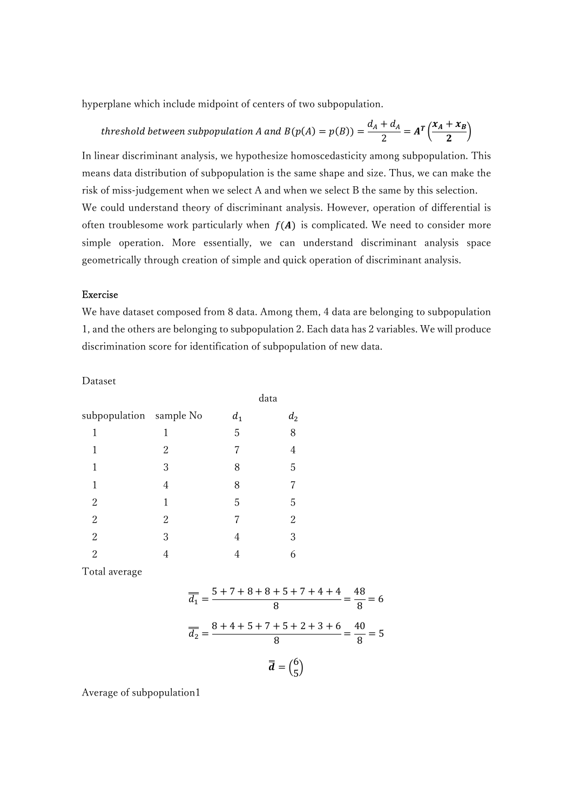hyperplane which include midpoint of centers of two subpopulation.

threshold between subpopulation A and 
$$
B(p(A) = p(B)) = \frac{d_A + d_A}{2} = A^T \left(\frac{x_A + x_B}{2}\right)
$$

In linear discriminant analysis, we hypothesize homoscedasticity among subpopulation. This means data distribution of subpopulation is the same shape and size. Thus, we can make the risk of miss-judgement when we select A and when we select B the same by this selection. We could understand theory of discriminant analysis. However, operation of differential is often troublesome work particularly when  $f(A)$  is complicated. We need to consider more simple operation. More essentially, we can understand discriminant analysis space geometrically through creation of simple and quick operation of discriminant analysis.

### Exercise

We have dataset composed from 8 data. Among them, 4 data are belonging to subpopulation 1, and the others are belonging to subpopulation 2. Each data has 2 variables. We will produce discrimination score for identification of subpopulation of new data.

Dataset

|                         |   |       | data           |  |  |
|-------------------------|---|-------|----------------|--|--|
| subpopulation sample No |   | $d_1$ | $d_2$          |  |  |
| 1                       | 1 | 5     | 8              |  |  |
| 1                       | 2 |       | $\overline{4}$ |  |  |
| 1                       | 3 | 8     | 5              |  |  |
| 1                       | 4 | 8     | 7              |  |  |
| $\overline{2}$          | 1 | 5     | 5              |  |  |
| $\boldsymbol{2}$        | 2 | 7     | $\overline{2}$ |  |  |
| $\overline{2}$          | 3 | 4     | 3              |  |  |
| $\overline{2}$          | 4 | 4     | 6              |  |  |

Total average

$$
\overline{\overline{d_1}} = \frac{5 + 7 + 8 + 8 + 5 + 7 + 4 + 4}{8} = \frac{48}{8} = 6
$$

$$
\overline{\overline{d_2}} = \frac{8 + 4 + 5 + 7 + 5 + 2 + 3 + 6}{8} = \frac{40}{8} = 5
$$

$$
\overline{\overline{d}} = \begin{pmatrix} 6 \\ 5 \end{pmatrix}
$$

Average of subpopulation1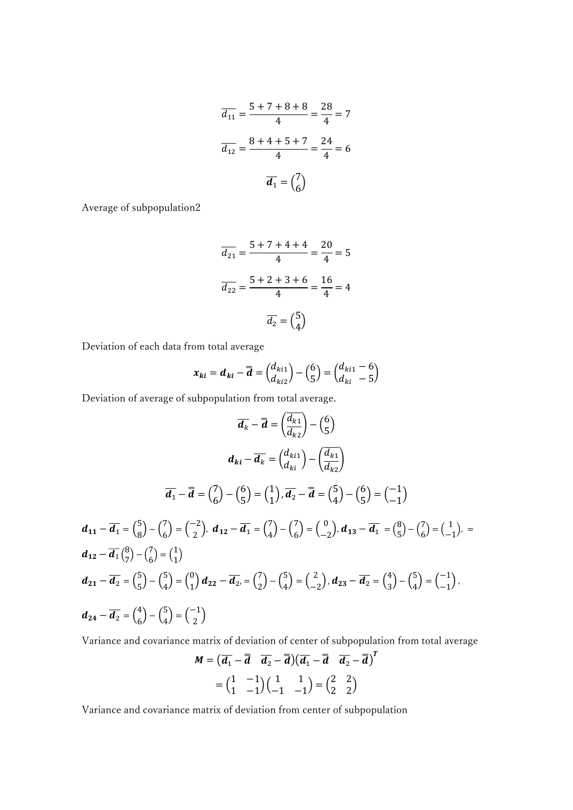$$
\overline{d_{11}} = \frac{5 + 7 + 8 + 8}{4} = \frac{28}{4} = 7
$$

$$
\overline{d_{12}} = \frac{8 + 4 + 5 + 7}{4} = \frac{24}{4} = 6
$$

$$
\overline{d_1} = {7 \choose 6}
$$

Average of subpopulation2

$$
\overline{d_{21}} = \frac{5 + 7 + 4 + 4}{4} = \frac{20}{4} = 5
$$

$$
\overline{d_{22}} = \frac{5 + 2 + 3 + 6}{4} = \frac{16}{4} = 4
$$

$$
\overline{d_2} = {5 \choose 4}
$$

Deviation of each data from total average

$$
x_{ki} = d_{ki} - \overline{d} = \begin{pmatrix} d_{ki1} \\ d_{ki2} \end{pmatrix} - \begin{pmatrix} 6 \\ 5 \end{pmatrix} = \begin{pmatrix} d_{ki1} - 6 \\ d_{ki} - 5 \end{pmatrix}
$$

Deviation of average of subpopulation from total average.

$$
\overline{d_k} - \overline{d} = \left(\frac{d_{k1}}{d_{k2}}\right) - \left(\frac{6}{5}\right)
$$
\n
$$
d_{ki} - \overline{d_k} = \left(\frac{d_{ki1}}{d_{ki}}\right) - \left(\frac{d_{ki}}{d_{k2}}\right)
$$
\n
$$
\overline{d_1} - \overline{d} = \left(\frac{7}{6}\right) - \left(\frac{6}{5}\right) = \left(\frac{1}{1}\right), \overline{d_2} - \overline{d} = \left(\frac{5}{4}\right) - \left(\frac{6}{5}\right) = \left(\frac{-1}{1}\right)
$$
\n
$$
d_{11} - \overline{d_1} = \left(\frac{5}{8}\right) - \left(\frac{7}{6}\right) = \left(\frac{-2}{2}\right), \ d_{12} - \overline{d_1} = \left(\frac{7}{4}\right) - \left(\frac{7}{6}\right) = \left(\frac{0}{-2}\right), \ d_{13} - \overline{d_1} = \left(\frac{8}{5}\right) - \left(\frac{7}{6}\right) = \left(\frac{1}{-1}\right),
$$
\n
$$
d_{12} - \overline{d_1} \left(\frac{8}{7}\right) - \left(\frac{7}{6}\right) = \left(\frac{1}{1}\right)
$$
\n
$$
d_{21} - \overline{d_2} = \left(\frac{5}{5}\right) - \left(\frac{5}{4}\right) = \left(\frac{0}{1}\right) d_{22} - \overline{d_2} = \left(\frac{7}{2}\right) - \left(\frac{5}{4}\right) = \left(\frac{2}{-2}\right), \ d_{23} - \overline{d_2} = \left(\frac{4}{3}\right) - \left(\frac{5}{4}\right) = \left(\frac{-1}{-1}\right),
$$
\n
$$
d_{24} - \overline{d_2} = \left(\frac{4}{6}\right) - \left(\frac{5}{4}\right) = \left(\frac{-1}{2}\right)
$$

Variance and covariance matrix of deviation of center of subpopulation from total average

$$
M = \left(\overline{d_1} - \overline{d} \quad \overline{d_2} - \overline{d}\right)\left(\overline{d_1} - \overline{d} \quad \overline{d_2} - \overline{d}\right)^T
$$

$$
= \left(\begin{matrix} 1 & -1 \\ 1 & -1 \end{matrix}\right)\left(\begin{matrix} 1 & 1 \\ -1 & -1 \end{matrix}\right) = \left(\begin{matrix} 2 & 2 \\ 2 & 2 \end{matrix}\right)
$$

Variance and covariance matrix of deviation from center of subpopulation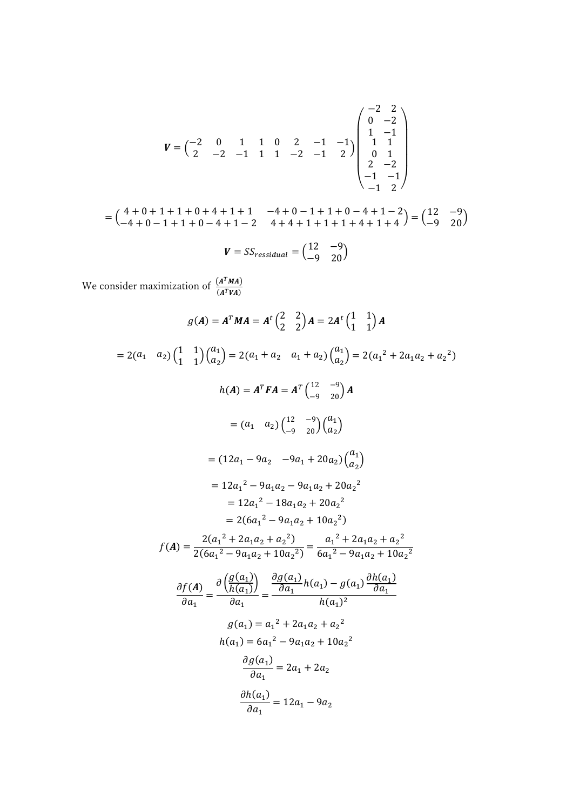$$
V = \begin{pmatrix} -2 & 0 & 1 & 1 & 0 & 2 & -1 & -1 \\ 2 & -2 & -1 & 1 & 1 & -2 & -1 & 2 \end{pmatrix} \begin{pmatrix} -2 & 2 \\ 0 & -2 \\ 1 & 1 \\ 1 & 1 \\ 0 & 1 \\ 2 & -2 \\ -1 & -1 \\ -1 & 2 \end{pmatrix}
$$

$$
= \begin{pmatrix} 4+0+1+1+0+4+1+1 & -4+0-1+1+0-4+1-2 \ -4+0-1+1+0-4+1-2 & 4+4+1+1+1+4+1+4 \end{pmatrix} = \begin{pmatrix} 12 & -9 \ -9 & 20 \end{pmatrix}
$$

$$
V = SS_{residual} = \begin{pmatrix} 12 & -9 \\ -9 & 20 \end{pmatrix}
$$

We consider maximization of  $\frac{(A^T M A)}{(A^T M A)}$  $\frac{(A^TWA)}{(A^TVA)}$ 

$$
g(A) = A^T MA = A^t \begin{pmatrix} 2 & 2 \ 2 & 2 \end{pmatrix} A = 2A^t \begin{pmatrix} 1 & 1 \ 1 & 1 \end{pmatrix} A
$$
  
= 2(a<sub>1</sub> a<sub>2</sub>)  $\begin{pmatrix} 1 & 1 \ 1 & 1 \end{pmatrix} \begin{pmatrix} a_1 \ a_2 \end{pmatrix} = 2(a_1 + a_2 - a_1 + a_2) \begin{pmatrix} a_1 \ a_2 \end{pmatrix} = 2(a_1^2 + 2a_1a_2 + a_2^2)$   

$$
h(A) = A^T FA = A^T \begin{pmatrix} 12 & -9 \ -9 & 20 \end{pmatrix} A
$$
  
= (a<sub>1</sub> a<sub>2</sub>)  $\begin{pmatrix} 12 & -9 \ -9 & 20 \end{pmatrix} \begin{pmatrix} a_1 \ a_2 \end{pmatrix}$   
= (12a<sub>1</sub> - 9a<sub>2</sub> - 9a<sub>1</sub> + 20a<sub>2</sub>)  $\begin{pmatrix} a_1 \ a_2 \end{pmatrix}$   
= 12a<sub>1</sub><sup>2</sup> - 9a<sub>1</sub>a<sub>2</sub> + 20a<sub>2</sub><sup>2</sup>  
= 12a<sub>1</sub><sup>2</sup> - 18a<sub>1</sub>a<sub>2</sub> + 20a<sub>2</sub><sup>2</sup>  
= 2(6a<sub>1</sub><sup>2</sup> - 9a<sub>1</sub>a<sub>2</sub> + 10a<sub>2</sub><sup>2</sup>)  

$$
f(A) = \frac{2(a_1^2 + 2a_1a_2 + a_2^2)}{2(6a_1^2 - 9a_1a_2 + 10a_2^2)} = \frac{a_1^2 + 2a_1a_2 + a_2^2}{6a_1^2 - 9a_1a_2 + 10a_2^2}
$$
  

$$
\frac{\partial f(A)}{\partial a_1} = \frac{\partial \frac{g(a_1)}{h(a_1)}}{\partial a_1} = \frac{\frac{\partial g(a_1)}{\partial a_1}}{h(a_1)^2} h(a_1) - g(a_1) \frac{\partial h(a_1)}{\partial
$$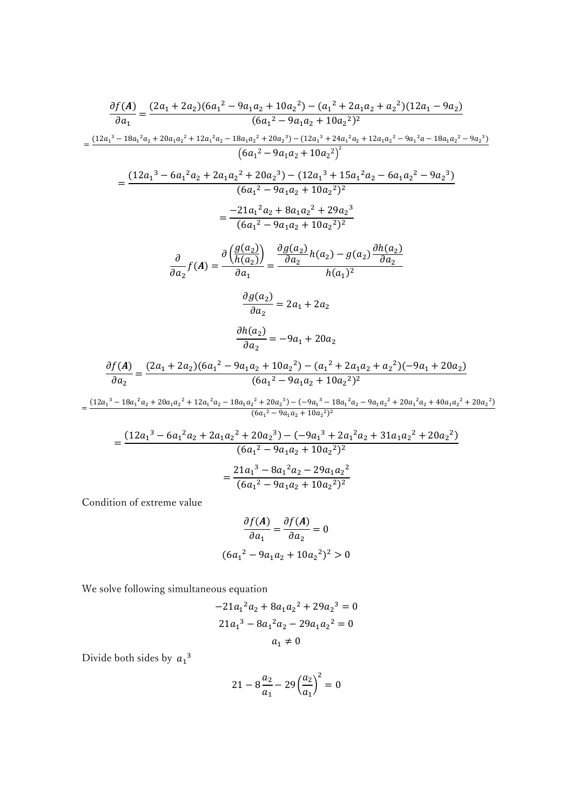$$
\frac{\partial f(A)}{\partial a_1} = \frac{(2a_1 + 2a_2)(6a_1^2 - 9a_1a_2 + 10a_2^2) - (a_1^2 + 2a_1a_2 + a_2^2)(12a_1 - 9a_2)}{(6a_1^2 - 9a_1a_2 + 10a_2^2)^2}
$$
\n
$$
= \frac{(12a_1^3 - 18a_1^2a_2 + 20a_1a_2^2 + 12a_1^2a_2 - 18a_1a_2^2 + 20a_2^3) - (12a_1^3 + 24a_1^2a_2 + 12a_1a_2^2 - 9a_1^2a - 18a_1a_2^2 - 9a_2^3)}{(6a_1^2 - 9a_1a_2 + 10a_2^2)^2}
$$
\n
$$
= \frac{(12a_1^3 - 6a_1^2a_2 + 2a_1a_2^2 + 20a_2^3) - (12a_1^3 + 15a_1^2a_2 - 6a_1a_2^2 - 9a_2^3)}{(6a_1^2 - 9a_1a_2 + 10a_2^2)^2}
$$
\n
$$
= \frac{-21a_1^2a_2 + 8a_1a_2^2 + 29a_2^3}{(6a_1^2 - 9a_1a_2 + 10a_2^2)^2}
$$
\n
$$
\frac{\partial}{\partial a_2} f(A) = \frac{\partial}{\partial a_1} \frac{(g(a_2)}{a_1})}{\partial a_1} = \frac{\partial g(a_2)}{\partial a_2} h(a_2) - g(a_2) \frac{\partial h(a_2)}{\partial a_2}
$$
\n
$$
\frac{\partial g(a_2)}{\partial a_2} = 2a_1 + 2a_2
$$
\n
$$
\frac{\partial f(A)}{\partial a_2} = \frac{(2a_1 + 2a_2)(6a_1^2 - 9a_1a_2 + 10a_2^2) - (a_1^2 + 2a_1a_2 + a_2^2)(-9a_1 + 20a_2)}{(6a_1^2 - 9a_1a_2 + 10a_2^2)^2}
$$
\n
$$
= \frac{(12a_1^3 - 18a
$$

$$
=\frac{(12a_1{}^3-6a_1{}^2a_2+2a_1a_2{}^2+20a_2{}^3)-(-9a_1{}^3+2a_1{}^2a_2+31a_1a_2{}^2+20a_2{}^2)}{(6a_1{}^2-9a_1a_2+10a_2{}^2)^2}
$$

$$
=\frac{21a_1{}^3-8a_1{}^2a_2-29a_1a_2{}^2}{(6a_1{}^2-9a_1a_2+10a_2{}^2)^2}
$$

Condition of extreme value

$$
\frac{\partial f(A)}{\partial a_1} = \frac{\partial f(A)}{\partial a_2} = 0
$$
  
(6a<sub>1</sub><sup>2</sup> - 9a<sub>1</sub>a<sub>2</sub> + 10a<sub>2</sub><sup>2</sup>)<sup>2</sup> > 0

We solve following simultaneous equation

$$
-21a12a2 + 8a1a22 + 29a23 = 0
$$
  

$$
21a13 - 8a12a2 - 29a1a22 = 0
$$
  

$$
a1 \neq 0
$$

Divide both sides by  $a_1^3$ 

$$
21 - 8\frac{a_2}{a_1} - 29\left(\frac{a_2}{a_1}\right)^2 = 0
$$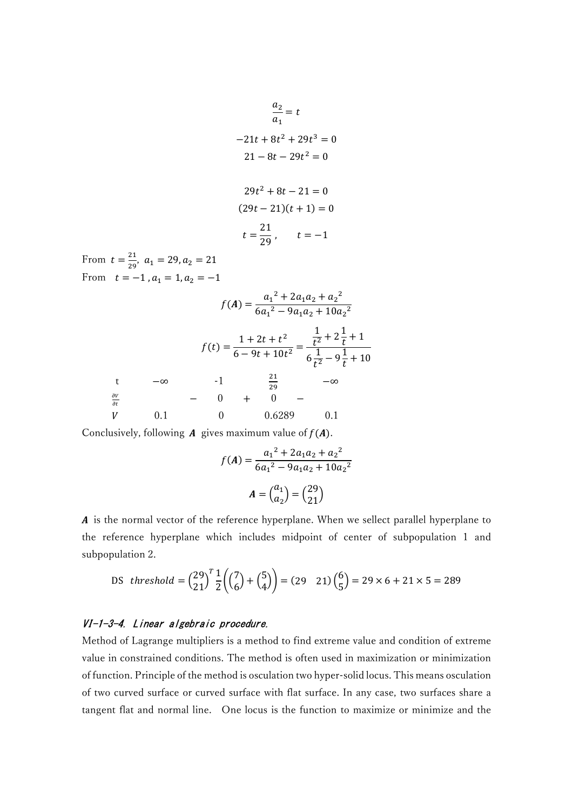$$
\frac{a_2}{a_1} = t
$$
  
\n
$$
-21t + 8t^2 + 29t^3 = 0
$$
  
\n
$$
21 - 8t - 29t^2 = 0
$$
  
\n
$$
29t^2 + 8t - 21 = 0
$$
  
\n
$$
(29t - 21)(t + 1) = 0
$$
  
\n
$$
t = \frac{21}{29}, \qquad t = -1
$$
  
\nFrom  $t = \frac{21}{29}, a_1 = 29, a_2 = 21$   
\nFrom  $t = -1, a_1 = 1, a_2 = -1$ 

 $f(A) = \frac{a_1^2 + 2a_1a_2 + a_2^2}{6a_1^2 + 2a_2a_3 + a_3^2}$  $6a_1^2 - 9a_1a_2 + 10a_2^2$  $f(t) = \frac{1 + 2t + t^2}{(t - 2t + 12t + 1)}$  $\frac{1}{6-9t+10t^2}$  = 1  $\frac{1}{t^2} + 2\frac{1}{t} + 1$  $6\frac{1}{12}$  $\frac{1}{t^2} - 9\frac{1}{t} + 10$ t  $-\infty$  -1  $\frac{21}{20}$  $\frac{21}{29}$  −∞  $\partial V$  $\partial t$  − 0 + 0 − *V* 0.1 0 0.6289 0.1

Conclusively, following  $A$  gives maximum value of  $f(A)$ .

$$
f(A) = \frac{a_1^2 + 2a_1a_2 + a_2^2}{6a_1^2 - 9a_1a_2 + 10a_2^2}
$$

$$
A = \begin{pmatrix} a_1 \\ a_2 \end{pmatrix} = \begin{pmatrix} 29 \\ 21 \end{pmatrix}
$$

A is the normal vector of the reference hyperplane. When we sellect parallel hyperplane to the reference hyperplane which includes midpoint of center of subpopulation 1 and subpopulation 2.

DS *threshold* = 
$$
\binom{29}{21}^T \frac{1}{2} \left( \binom{7}{6} + \binom{5}{4} \right) = (29 \ 21) \binom{6}{5} = 29 \times 6 + 21 \times 5 = 289
$$

#### VI-1-3-4. Linear algebraic procedure.

Method of Lagrange multipliers is a method to find extreme value and condition of extreme value in constrained conditions. The method is often used in maximization or minimization of function. Principle of the method is osculation two hyper-solid locus. This means osculation of two curved surface or curved surface with flat surface. In any case, two surfaces share a tangent flat and normal line. One locus is the function to maximize or minimize and the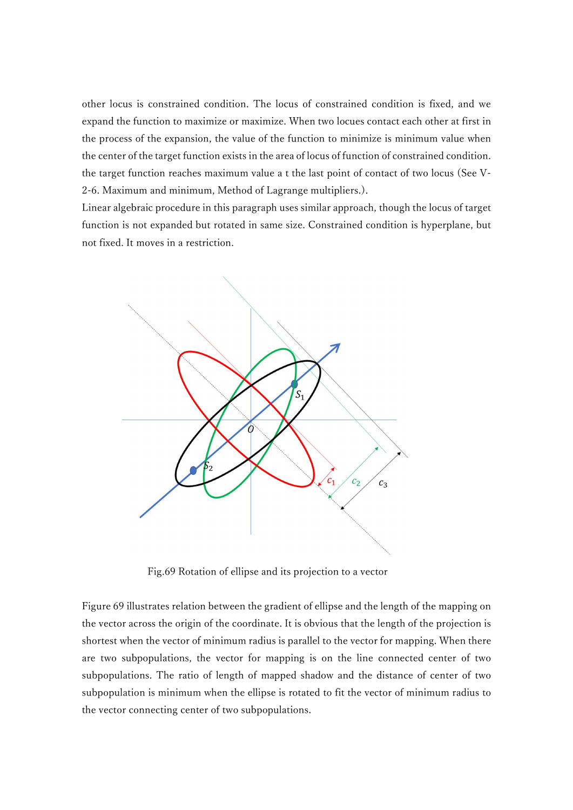other locus is constrained condition. The locus of constrained condition is fixed, and we expand the function to maximize or maximize. When two locues contact each other at first in the process of the expansion, the value of the function to minimize is minimum value when the center of the target function exists in the area of locus of function of constrained condition. the target function reaches maximum value a t the last point of contact of two locus (See V-2-6. Maximum and minimum, Method of Lagrange multipliers.).

Linear algebraic procedure in this paragraph uses similar approach, though the locus of target function is not expanded but rotated in same size. Constrained condition is hyperplane, but not fixed. It moves in a restriction.



Fig.69 Rotation of ellipse and its projection to a vector

Figure 69 illustrates relation between the gradient of ellipse and the length of the mapping on the vector across the origin of the coordinate. It is obvious that the length of the projection is shortest when the vector of minimum radius is parallel to the vector for mapping. When there are two subpopulations, the vector for mapping is on the line connected center of two subpopulations. The ratio of length of mapped shadow and the distance of center of two subpopulation is minimum when the ellipse is rotated to fit the vector of minimum radius to the vector connecting center of two subpopulations.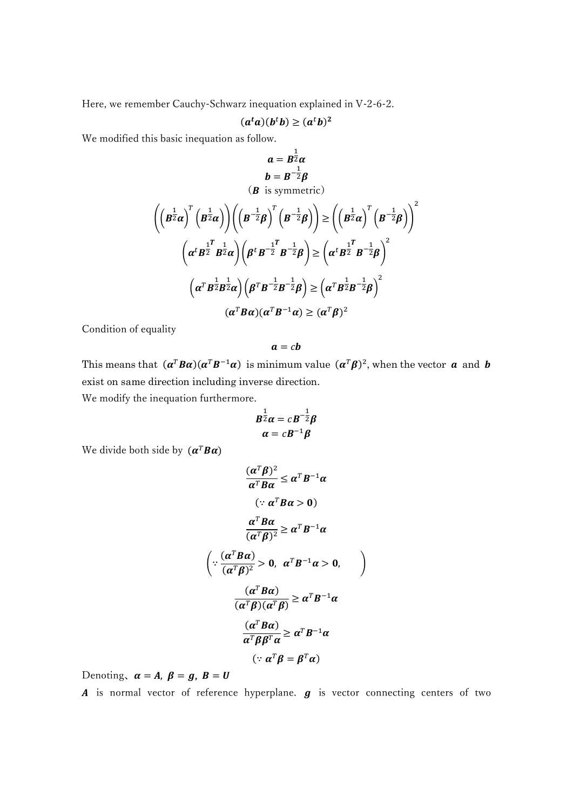Here, we remember Cauchy-Schwarz inequation explained in V-2-6-2.

$$
(a^t a)(b^t b) \ge (a^t b)^2
$$

We modified this basic inequation as follow.

$$
a = B^{\frac{1}{2}}\alpha
$$
  
\n
$$
b = B^{-\frac{1}{2}}\beta
$$
  
\n
$$
(B \text{ is symmetric})
$$
  
\n
$$
\left( \left( B^{\frac{1}{2}}\alpha \right)^{T} \left( B^{\frac{1}{2}}\alpha \right) \right) \left( \left( B^{-\frac{1}{2}}\beta \right)^{T} \left( B^{-\frac{1}{2}}\beta \right) \right) \ge \left( \left( B^{\frac{1}{2}}\alpha \right)^{T} \left( B^{-\frac{1}{2}}\beta \right) \right)^{2}
$$
  
\n
$$
\left( \alpha^{t} B^{\frac{1}{2}} B^{\frac{1}{2}}\alpha \right) \left( \beta^{t} B^{-\frac{1}{2}} B^{-\frac{1}{2}}\beta \right) \ge \left( \alpha^{t} B^{\frac{1}{2}} B^{-\frac{1}{2}}\beta \right)^{2}
$$
  
\n
$$
\left( \alpha^{T} B^{\frac{1}{2}}B^{\frac{1}{2}}\alpha \right) \left( \beta^{T} B^{-\frac{1}{2}}B^{-\frac{1}{2}}\beta \right) \ge \left( \alpha^{T} B^{\frac{1}{2}}B^{-\frac{1}{2}}\beta \right)^{2}
$$
  
\n
$$
(\alpha^{T} B\alpha)(\alpha^{T} B^{-1}\alpha) \ge (\alpha^{T} \beta)^{2}
$$

Condition of equality

$$
a=cb
$$

This means that  $(\alpha^T B \alpha)(\alpha^T B^{-1} \alpha)$  is minimum value  $(\alpha^T \beta)^2$ , when the vector  $\alpha$  and  $\beta$ exist on same direction including inverse direction.

We modify the inequation furthermore.

$$
B^{\frac{1}{2}}\alpha = cB^{-\frac{1}{2}}\beta
$$

$$
\alpha = cB^{-1}\beta
$$

We divide both side by  $(\boldsymbol{\alpha}^T \boldsymbol{B} \boldsymbol{\alpha})$ 

$$
\frac{(\alpha^T \beta)^2}{\alpha^T B \alpha} \leq \alpha^T B^{-1} \alpha
$$
  

$$
(\because \alpha^T B \alpha > 0)
$$
  

$$
\frac{\alpha^T B \alpha}{(\alpha^T \beta)^2} \geq \alpha^T B^{-1} \alpha
$$
  

$$
\left(\because \frac{(\alpha^T B \alpha)}{(\alpha^T \beta)^2} > 0, \alpha^T B^{-1} \alpha > 0, \alpha^T B^{-1} \alpha \right)
$$
  

$$
\frac{(\alpha^T B \alpha)}{(\alpha^T \beta)(\alpha^T \beta)} \geq \alpha^T B^{-1} \alpha
$$
  

$$
\frac{(\alpha^T B \alpha)}{\alpha^T \beta \beta^T \alpha} \geq \alpha^T B^{-1} \alpha
$$
  

$$
(\because \alpha^T \beta = \beta^T \alpha)
$$

Denoting,  $\alpha = A$ ,  $\beta = g$ ,  $B = U$ 

 $\boldsymbol{A}$  is normal vector of reference hyperplane.  $\boldsymbol{g}$  is vector connecting centers of two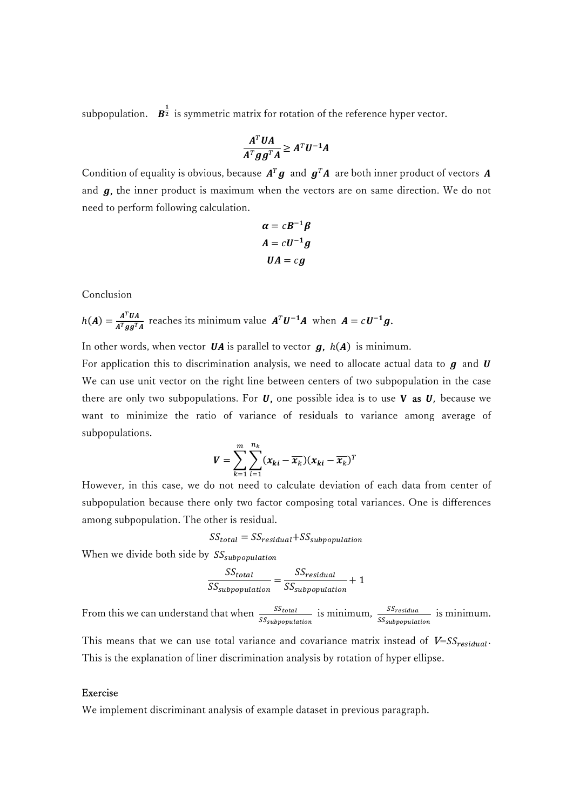subpopulation.  $\mathbf{B}_2^{\frac{1}{2}}$  is symmetric matrix for rotation of the reference hyper vector.

$$
\frac{A^T U A}{A^T g g^T A} \ge A^T U^{-1} A
$$

Condition of equality is obvious, because  $A^T g$  and  $g^T A$  are both inner product of vectors A and  $g$ , the inner product is maximum when the vectors are on same direction. We do not need to perform following calculation.

$$
\alpha = cB^{-1}\beta
$$

$$
A = cU^{-1}g
$$

$$
UA = cg
$$

Conclusion

 $h(A) = \frac{A^T U A}{A^T \cos T}$  $A^{T}U^{-1}A$  reaches its minimum value  $A^{T}U^{-1}A$  when  $A = cU^{-1}g$ .

In other words, when vector  $\boldsymbol{U} \boldsymbol{A}$  is parallel to vector  $\boldsymbol{g}$ ,  $h(\boldsymbol{A})$  is minimum.

For application this to discrimination analysis, we need to allocate actual data to  $q$  and  $U$ We can use unit vector on the right line between centers of two subpopulation in the case there are only two subpopulations. For  $U$ , one possible idea is to use V as  $U$ , because we want to minimize the ratio of variance of residuals to variance among average of subpopulations.

$$
V = \sum_{k=1}^{m} \sum_{i=1}^{n_k} (x_{ki} - \overline{x_k})(x_{ki} - \overline{x_k})^T
$$

However, in this case, we do not need to calculate deviation of each data from center of subpopulation because there only two factor composing total variances. One is differences among subpopulation. The other is residual.

$$
SS_{total} = SS_{residual} + SS_{subpopulation}
$$

When we divide both side by  $SS_{subpopulation}$ 

$$
\frac{SS_{total}}{SS_{subpopulation}} = \frac{SS_{residual}}{SS_{subpopulation}} + 1
$$

From this we can understand that when  $\frac{SS_{total}}{SS_{subpopulation}}$  is minimum,  $\frac{SS_{residual}}{SS_{subpopulation}}$  is minimum.

This means that we can use total variance and covariance matrix instead of  $V=SS_{residual}$ . This is the explanation of liner discrimination analysis by rotation of hyper ellipse.

#### Exercise

We implement discriminant analysis of example dataset in previous paragraph.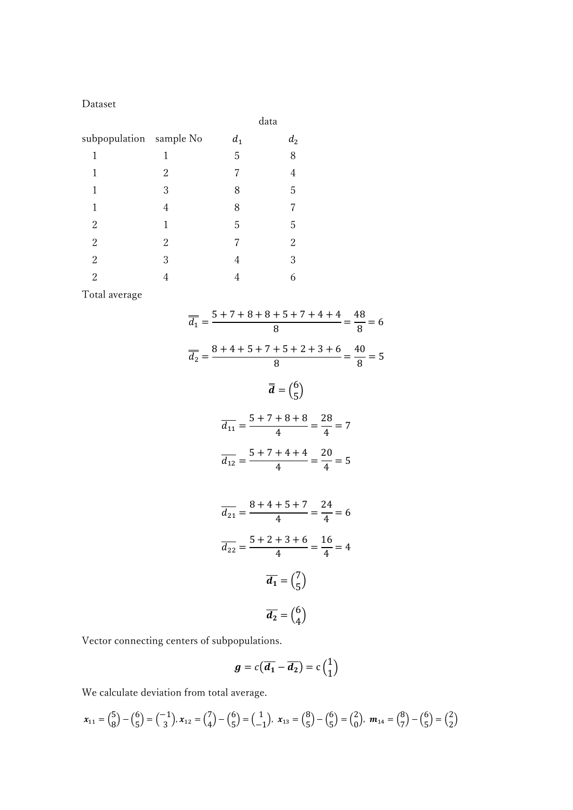Dataset

|                         |   | data  |                |
|-------------------------|---|-------|----------------|
| subpopulation sample No |   | $d_1$ | $d_2$          |
| 1                       | 1 | 5     | 8              |
| 1                       | 2 | 7     | 4              |
| 1                       | 3 | 8     | 5              |
| 1                       | 4 | 8     | 7              |
| $\overline{2}$          | 1 | 5     | 5              |
| $\overline{2}$          | 2 | 7     | $\overline{2}$ |
| $\overline{c}$          | 3 | 4     | 3              |
| $\overline{2}$          | 4 | 4     | 6              |

Total average

$$
\overline{d_1} = \frac{5 + 7 + 8 + 8 + 5 + 7 + 4 + 4}{8} = \frac{48}{8} = 6
$$
  

$$
\overline{d_2} = \frac{8 + 4 + 5 + 7 + 5 + 2 + 3 + 6}{8} = \frac{40}{8} = 5
$$
  

$$
\overline{d} = \left(\frac{6}{5}\right)
$$
  

$$
\overline{d_{11}} = \frac{5 + 7 + 8 + 8}{4} = \frac{28}{4} = 7
$$
  

$$
\overline{d_{12}} = \frac{5 + 7 + 4 + 4}{4} = \frac{20}{4} = 5
$$
  

$$
\overline{d_{21}} = \frac{8 + 4 + 5 + 7}{4} = \frac{24}{4} = 6
$$
  

$$
\overline{d_{22}} = \frac{5 + 2 + 3 + 6}{4} = \frac{16}{4} = 4
$$
  

$$
\overline{d_1} = \left(\frac{7}{5}\right)
$$
  

$$
\overline{d_2} = \left(\frac{6}{4}\right)
$$

Vector connecting centers of subpopulations.

$$
g = c(\overline{d_1} - \overline{d_2}) = c\begin{pmatrix}1\\1\end{pmatrix}
$$

We calculate deviation from total average.

$$
\boldsymbol{x}_{11} = \begin{pmatrix} 5 \\ 8 \end{pmatrix} - \begin{pmatrix} 6 \\ 5 \end{pmatrix} = \begin{pmatrix} -1 \\ 3 \end{pmatrix}, \boldsymbol{x}_{12} = \begin{pmatrix} 7 \\ 4 \end{pmatrix} - \begin{pmatrix} 6 \\ 5 \end{pmatrix} = \begin{pmatrix} 1 \\ -1 \end{pmatrix}, \boldsymbol{x}_{13} = \begin{pmatrix} 8 \\ 5 \end{pmatrix} - \begin{pmatrix} 6 \\ 5 \end{pmatrix} = \begin{pmatrix} 2 \\ 0 \end{pmatrix}, \boldsymbol{m}_{14} = \begin{pmatrix} 8 \\ 7 \end{pmatrix} - \begin{pmatrix} 6 \\ 5 \end{pmatrix} = \begin{pmatrix} 2 \\ 2 \end{pmatrix}
$$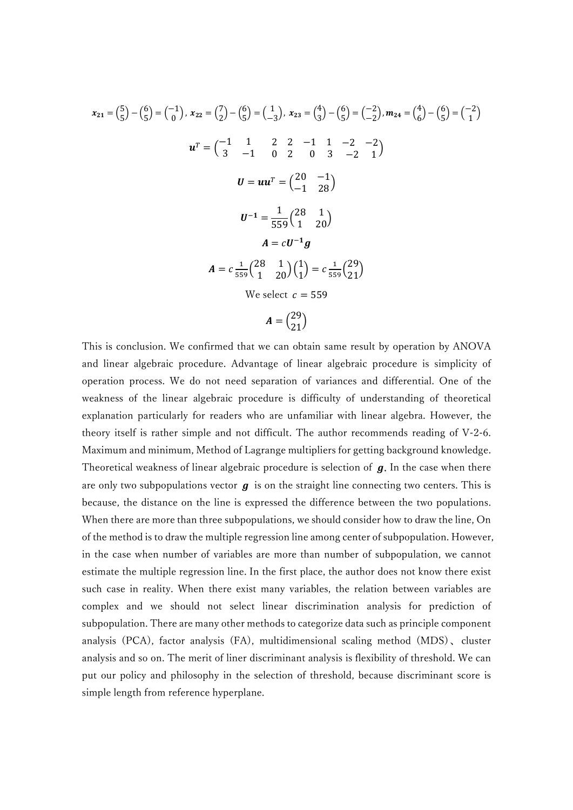$$
x_{21} = \binom{5}{5} - \binom{6}{5} = \binom{-1}{0}, x_{22} = \binom{7}{2} - \binom{6}{5} = \binom{1}{-3}, x_{23} = \binom{4}{3} - \binom{6}{5} = \binom{-2}{-2}, m_{24} = \binom{4}{6} - \binom{6}{5} = \binom{-2}{1}
$$
\n
$$
u^T = \binom{-1}{3} - \binom{1}{1} - \binom{2}{2} - \binom{3}{1} - \binom{4}{2} - \binom{5}{3} = \binom{-2}{1} - \binom{6}{5} = \binom{-2}{1} - \binom{6}{5} = \binom{-2}{-1} - \binom{7}{5} = \binom{-1}{-1} - \binom{8}{5} - \binom{-1}{-1} - \binom{9}{5} = \binom{-1}{-1} - \binom{9}{5} - \binom{-1}{-1} - \binom{1}{-1} - \binom{1}{-1} - \binom{1}{-1} - \binom{1}{-1} - \binom{1}{-1} - \binom{1}{-1} - \binom{1}{-1} - \binom{1}{-1} - \binom{1}{-1} - \binom{1}{-1} - \binom{1}{-1} - \binom{1}{-1} - \binom{1}{-1} - \binom{1}{-1} - \binom{1}{-1} - \binom{1}{-1} - \binom{1}{-1} - \binom{1}{-1} - \binom{1}{-1} - \binom{1}{-1} - \binom{1}{-1} - \binom{1}{-1} - \binom{1}{-1} - \binom{1}{-1} - \binom{1}{-1} - \binom{1}{-1} - \binom{1}{-1} - \binom{1}{-1} - \binom{1}{-1} - \binom{1}{-1} - \binom{1}{-1} - \binom{1}{-1} - \binom{1}{-1} - \binom{1}{-1} - \binom{1}{-1} - \binom{1}{-1} - \binom{1}{-1} - \binom{1}{-1} - \binom{1}{-1} - \binom{1}{-1} - \binom{1}{-1} - \binom{1}{-1} - \binom{1}{-1} - \binom{1}{-1} -
$$

This is conclusion. We confirmed that we can obtain same result by operation by ANOVA and linear algebraic procedure. Advantage of linear algebraic procedure is simplicity of operation process. We do not need separation of variances and differential. One of the weakness of the linear algebraic procedure is difficulty of understanding of theoretical explanation particularly for readers who are unfamiliar with linear algebra. However, the theory itself is rather simple and not difficult. The author recommends reading of V-2-6. Maximum and minimum, Method of Lagrange multipliers for getting background knowledge. Theoretical weakness of linear algebraic procedure is selection of  $g$ . In the case when there are only two subpopulations vector  $g$  is on the straight line connecting two centers. This is because, the distance on the line is expressed the difference between the two populations. When there are more than three subpopulations, we should consider how to draw the line, On of the method is to draw the multiple regression line among center of subpopulation. However, in the case when number of variables are more than number of subpopulation, we cannot estimate the multiple regression line. In the first place, the author does not know there exist such case in reality. When there exist many variables, the relation between variables are complex and we should not select linear discrimination analysis for prediction of subpopulation. There are many other methods to categorize data such as principle component analysis (PCA), factor analysis (FA), multidimensional scaling method (MDS)、 cluster analysis and so on. The merit of liner discriminant analysis is flexibility of threshold. We can put our policy and philosophy in the selection of threshold, because discriminant score is simple length from reference hyperplane.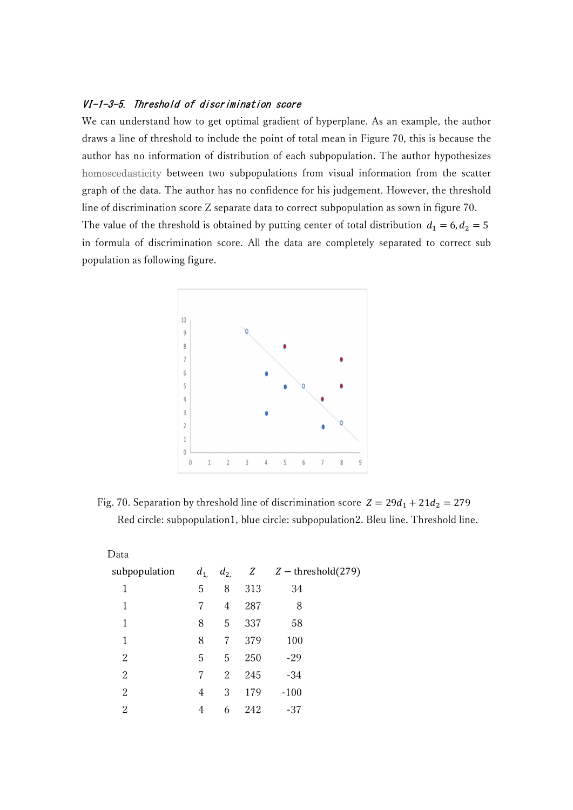## VI-1-3-5. Threshold of discrimination score

We can understand how to get optimal gradient of hyperplane. As an example, the author draws a line of threshold to include the point of total mean in Figure 70, this is because the author has no information of distribution of each subpopulation. The author hypothesizes homoscedasticity between two subpopulations from visual information from the scatter graph of the data. The author has no confidence for his judgement. However, the threshold line of discrimination score Z separate data to correct subpopulation as sown in figure 70. The value of the threshold is obtained by putting center of total distribution  $d_1 = 6, d_2 = 5$ in formula of discrimination score. All the data are completely separated to correct sub population as following figure.



Fig. 70. Separation by threshold line of discrimination score  $Z = 29d_1 + 21d_2 = 279$ Red circle: subpopulation1, blue circle: subpopulation2. Bleu line. Threshold line.

| Data          |          |                |     |                                  |
|---------------|----------|----------------|-----|----------------------------------|
| subpopulation | $d_{1,}$ |                |     | $d_{2}$ , Z $Z$ – threshold(279) |
| 1             | 5        | 8              | 313 | 34                               |
| 1             | 7        | $\overline{4}$ | 287 | 8                                |
| 1             | 8        | 5              | 337 | 58                               |
| 1             | 8        | 7              | 379 | 100                              |
| 2             | 5        | 5              | 250 | $-29$                            |
| 2             | 7        | 2              | 245 | $-34$                            |
| 2             | 4        | 3              | 179 | $-100$                           |
| 2             | 4        | 6              | 242 | -37                              |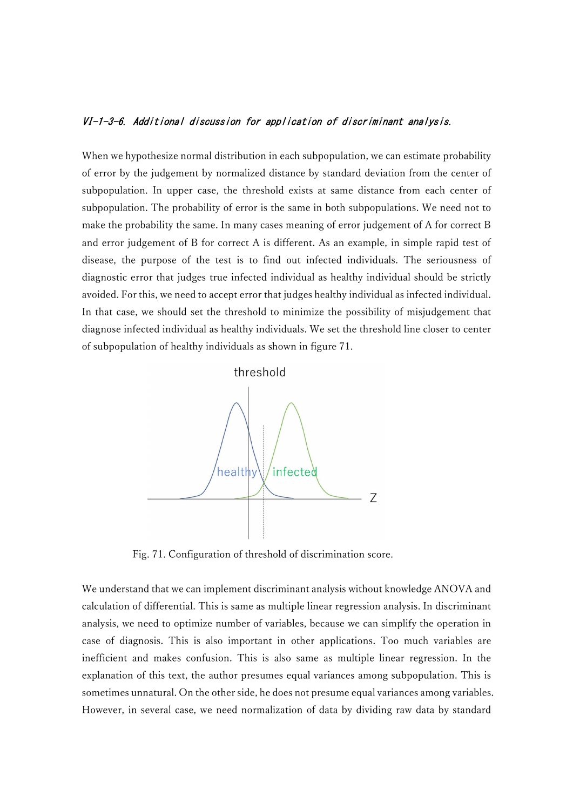### VI-1-3-6. Additional discussion for application of discriminant analysis.

When we hypothesize normal distribution in each subpopulation, we can estimate probability of error by the judgement by normalized distance by standard deviation from the center of subpopulation. In upper case, the threshold exists at same distance from each center of subpopulation. The probability of error is the same in both subpopulations. We need not to make the probability the same. In many cases meaning of error judgement of A for correct B and error judgement of B for correct A is different. As an example, in simple rapid test of disease, the purpose of the test is to find out infected individuals. The seriousness of diagnostic error that judges true infected individual as healthy individual should be strictly avoided. For this, we need to accept error that judges healthy individual as infected individual. In that case, we should set the threshold to minimize the possibility of misjudgement that diagnose infected individual as healthy individuals. We set the threshold line closer to center of subpopulation of healthy individuals as shown in figure 71.





Fig. 71. Configuration of threshold of discrimination score.

We understand that we can implement discriminant analysis without knowledge ANOVA and calculation of differential. This is same as multiple linear regression analysis. In discriminant analysis, we need to optimize number of variables, because we can simplify the operation in case of diagnosis. This is also important in other applications. Too much variables are inefficient and makes confusion. This is also same as multiple linear regression. In the explanation of this text, the author presumes equal variances among subpopulation. This is sometimes unnatural. On the other side, he does not presume equal variances among variables. However, in several case, we need normalization of data by dividing raw data by standard